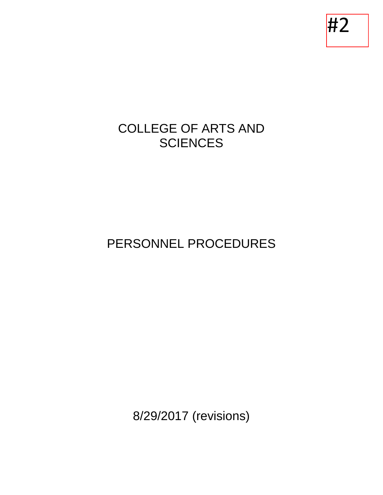#2

# COLLEGE OF ARTS AND **SCIENCES**

# PERSONNEL PROCEDURES

8/29/2017 (revisions)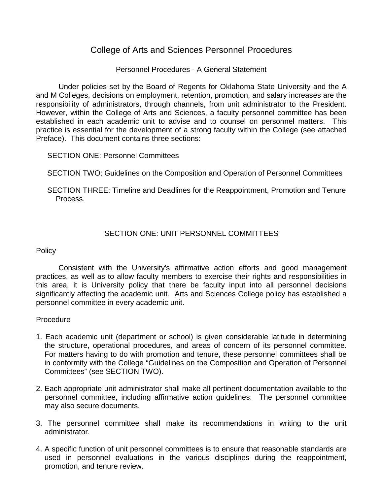# College of Arts and Sciences Personnel Procedures

## Personnel Procedures - A General Statement

Under policies set by the Board of Regents for Oklahoma State University and the A and M Colleges, decisions on employment, retention, promotion, and salary increases are the responsibility of administrators, through channels, from unit administrator to the President. However, within the College of Arts and Sciences, a faculty personnel committee has been established in each academic unit to advise and to counsel on personnel matters. This practice is essential for the development of a strong faculty within the College (see attached Preface). This document contains three sections:

SECTION ONE: Personnel Committees

SECTION TWO: Guidelines on the Composition and Operation of Personnel Committees

SECTION THREE: Timeline and Deadlines for the Reappointment, Promotion and Tenure Process.

# SECTION ONE: UNIT PERSONNEL COMMITTEES

## **Policy**

Consistent with the University's affirmative action efforts and good management practices, as well as to allow faculty members to exercise their rights and responsibilities in this area, it is University policy that there be faculty input into all personnel decisions significantly affecting the academic unit. Arts and Sciences College policy has established a personnel committee in every academic unit.

## Procedure

- 1. Each academic unit (department or school) is given considerable latitude in determining the structure, operational procedures, and areas of concern of its personnel committee. For matters having to do with promotion and tenure, these personnel committees shall be in conformity with the College "Guidelines on the Composition and Operation of Personnel Committees" (see SECTION TWO).
- 2. Each appropriate unit administrator shall make all pertinent documentation available to the personnel committee, including affirmative action guidelines. The personnel committee may also secure documents.
- 3. The personnel committee shall make its recommendations in writing to the unit administrator.
- 4. A specific function of unit personnel committees is to ensure that reasonable standards are used in personnel evaluations in the various disciplines during the reappointment, promotion, and tenure review.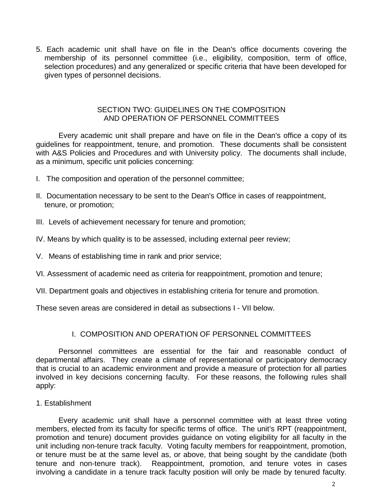5. Each academic unit shall have on file in the Dean's office documents covering the membership of its personnel committee (i.e., eligibility, composition, term of office, selection procedures) and any generalized or specific criteria that have been developed for given types of personnel decisions.

#### SECTION TWO: GUIDELINES ON THE COMPOSITION AND OPERATION OF PERSONNEL COMMITTEES

Every academic unit shall prepare and have on file in the Dean's office a copy of its guidelines for reappointment, tenure, and promotion. These documents shall be consistent with A&S Policies and Procedures and with University policy. The documents shall include, as a minimum, specific unit policies concerning:

- I. The composition and operation of the personnel committee;
- II. Documentation necessary to be sent to the Dean's Office in cases of reappointment, tenure, or promotion;
- III. Levels of achievement necessary for tenure and promotion;
- IV. Means by which quality is to be assessed, including external peer review;
- V. Means of establishing time in rank and prior service;
- VI. Assessment of academic need as criteria for reappointment, promotion and tenure;
- VII. Department goals and objectives in establishing criteria for tenure and promotion.

These seven areas are considered in detail as subsections I - VII below.

## I. COMPOSITION AND OPERATION OF PERSONNEL COMMITTEES

Personnel committees are essential for the fair and reasonable conduct of departmental affairs. They create a climate of representational or participatory democracy that is crucial to an academic environment and provide a measure of protection for all parties involved in key decisions concerning faculty. For these reasons, the following rules shall apply:

#### 1. Establishment

Every academic unit shall have a personnel committee with at least three voting members, elected from its faculty for specific terms of office. The unit's RPT (reappointment, promotion and tenure) document provides guidance on voting eligibility for all faculty in the unit including non-tenure track faculty. Voting faculty members for reappointment, promotion, or tenure must be at the same level as, or above, that being sought by the candidate (both tenure and non-tenure track). Reappointment, promotion, and tenure votes in cases involving a candidate in a tenure track faculty position will only be made by tenured faculty.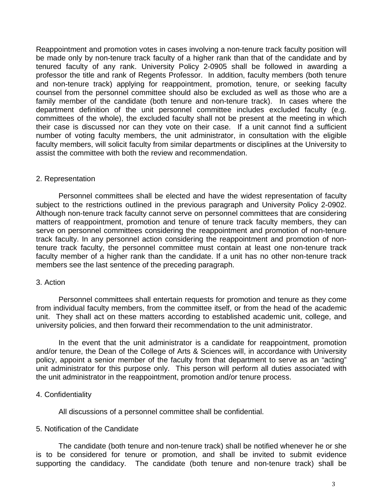Reappointment and promotion votes in cases involving a non-tenure track faculty position will be made only by non-tenure track faculty of a higher rank than that of the candidate and by tenured faculty of any rank. University Policy 2-0905 shall be followed in awarding a professor the title and rank of Regents Professor. In addition, faculty members (both tenure and non-tenure track) applying for reappointment, promotion, tenure, or seeking faculty counsel from the personnel committee should also be excluded as well as those who are a family member of the candidate (both tenure and non-tenure track). In cases where the department definition of the unit personnel committee includes excluded faculty (e.g. committees of the whole), the excluded faculty shall not be present at the meeting in which their case is discussed nor can they vote on their case. If a unit cannot find a sufficient number of voting faculty members, the unit administrator, in consultation with the eligible faculty members, will solicit faculty from similar departments or disciplines at the University to assist the committee with both the review and recommendation.

#### 2. Representation

Personnel committees shall be elected and have the widest representation of faculty subject to the restrictions outlined in the previous paragraph and University Policy 2-0902. Although non-tenure track faculty cannot serve on personnel committees that are considering matters of reappointment, promotion and tenure of tenure track faculty members, they can serve on personnel committees considering the reappointment and promotion of non-tenure track faculty. In any personnel action considering the reappointment and promotion of nontenure track faculty, the personnel committee must contain at least one non-tenure track faculty member of a higher rank than the candidate. If a unit has no other non-tenure track members see the last sentence of the preceding paragraph.

## 3. Action

Personnel committees shall entertain requests for promotion and tenure as they come from individual faculty members, from the committee itself, or from the head of the academic unit. They shall act on these matters according to established academic unit, college, and university policies, and then forward their recommendation to the unit administrator.

In the event that the unit administrator is a candidate for reappointment, promotion and/or tenure, the Dean of the College of Arts & Sciences will, in accordance with University policy, appoint a senior member of the faculty from that department to serve as an "acting" unit administrator for this purpose only. This person will perform all duties associated with the unit administrator in the reappointment, promotion and/or tenure process.

## 4. Confidentiality

All discussions of a personnel committee shall be confidential.

## 5. Notification of the Candidate

The candidate (both tenure and non-tenure track) shall be notified whenever he or she is to be considered for tenure or promotion, and shall be invited to submit evidence supporting the candidacy. The candidate (both tenure and non-tenure track) shall be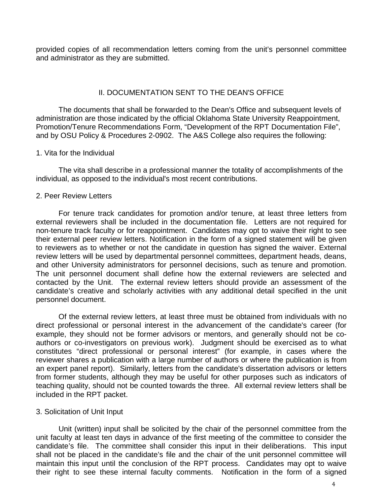provided copies of all recommendation letters coming from the unit's personnel committee and administrator as they are submitted.

## II. DOCUMENTATION SENT TO THE DEAN'S OFFICE

The documents that shall be forwarded to the Dean's Office and subsequent levels of administration are those indicated by the official Oklahoma State University Reappointment, Promotion/Tenure Recommendations Form, "Development of the RPT Documentation File", and by OSU Policy & Procedures 2-0902. The A&S College also requires the following:

#### 1. Vita for the Individual

The vita shall describe in a professional manner the totality of accomplishments of the individual, as opposed to the individual's most recent contributions.

#### 2. Peer Review Letters

For tenure track candidates for promotion and/or tenure, at least three letters from external reviewers shall be included in the documentation file. Letters are not required for non-tenure track faculty or for reappointment. Candidates may opt to waive their right to see their external peer review letters. Notification in the form of a signed statement will be given to reviewers as to whether or not the candidate in question has signed the waiver. External review letters will be used by departmental personnel committees, department heads, deans, and other University administrators for personnel decisions, such as tenure and promotion. The unit personnel document shall define how the external reviewers are selected and contacted by the Unit. The external review letters should provide an assessment of the candidate's creative and scholarly activities with any additional detail specified in the unit personnel document.

Of the external review letters, at least three must be obtained from individuals with no direct professional or personal interest in the advancement of the candidate's career (for example, they should not be former advisors or mentors, and generally should not be coauthors or co-investigators on previous work). Judgment should be exercised as to what constitutes "direct professional or personal interest" (for example, in cases where the reviewer shares a publication with a large number of authors or where the publication is from an expert panel report). Similarly, letters from the candidate's dissertation advisors or letters from former students, although they may be useful for other purposes such as indicators of teaching quality, should not be counted towards the three. All external review letters shall be included in the RPT packet.

## 3. Solicitation of Unit Input

Unit (written) input shall be solicited by the chair of the personnel committee from the unit faculty at least ten days in advance of the first meeting of the committee to consider the candidate's file. The committee shall consider this input in their deliberations. This input shall not be placed in the candidate's file and the chair of the unit personnel committee will maintain this input until the conclusion of the RPT process. Candidates may opt to waive their right to see these internal faculty comments. Notification in the form of a signed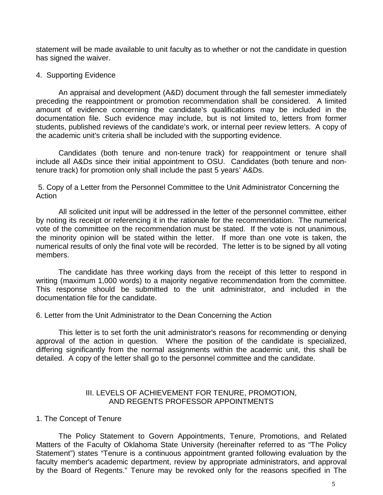statement will be made available to unit faculty as to whether or not the candidate in question has signed the waiver.

#### 4. Supporting Evidence

An appraisal and development (A&D) document through the fall semester immediately preceding the reappointment or promotion recommendation shall be considered. A limited amount of evidence concerning the candidate's qualifications may be included in the documentation file. Such evidence may include, but is not limited to, letters from former students, published reviews of the candidate's work, or internal peer review letters. A copy of the academic unit's criteria shall be included with the supporting evidence.

Candidates (both tenure and non-tenure track) for reappointment or tenure shall include all A&Ds since their initial appointment to OSU. Candidates (both tenure and nontenure track) for promotion only shall include the past 5 years' A&Ds.

5. Copy of a Letter from the Personnel Committee to the Unit Administrator Concerning the **Action** 

All solicited unit input will be addressed in the letter of the personnel committee, either by noting its receipt or referencing it in the rationale for the recommendation. The numerical vote of the committee on the recommendation must be stated. If the vote is not unanimous, the minority opinion will be stated within the letter. If more than one vote is taken, the numerical results of only the final vote will be recorded. The letter is to be signed by all voting members.

The candidate has three working days from the receipt of this letter to respond in writing (maximum 1,000 words) to a majority negative recommendation from the committee. This response should be submitted to the unit administrator, and included in the documentation file for the candidate.

6. Letter from the Unit Administrator to the Dean Concerning the Action

This letter is to set forth the unit administrator's reasons for recommending or denying approval of the action in question. Where the position of the candidate is specialized, differing significantly from the normal assignments within the academic unit, this shall be detailed. A copy of the letter shall go to the personnel committee and the candidate.

## III. LEVELS OF ACHIEVEMENT FOR TENURE, PROMOTION, AND REGENTS PROFESSOR APPOINTMENTS

#### 1. The Concept of Tenure

The Policy Statement to Govern Appointments, Tenure, Promotions, and Related Matters of the Faculty of Oklahoma State University (hereinafter referred to as "The Policy Statement") states "Tenure is a continuous appointment granted following evaluation by the faculty member's academic department, review by appropriate administrators, and approval by the Board of Regents." Tenure may be revoked only for the reasons specified in The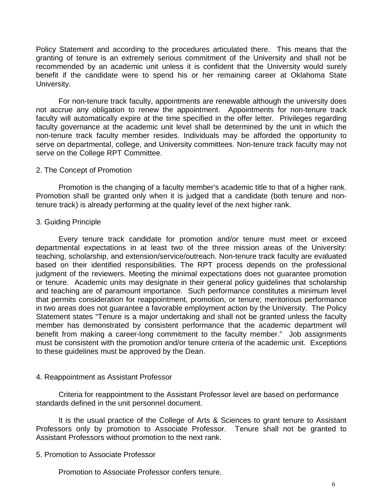Policy Statement and according to the procedures articulated there. This means that the granting of tenure is an extremely serious commitment of the University and shall not be recommended by an academic unit unless it is confident that the University would surely benefit if the candidate were to spend his or her remaining career at Oklahoma State University.

For non-tenure track faculty, appointments are renewable although the university does not accrue any obligation to renew the appointment. Appointments for non-tenure track faculty will automatically expire at the time specified in the offer letter. Privileges regarding faculty governance at the academic unit level shall be determined by the unit in which the non-tenure track faculty member resides. Individuals may be afforded the opportunity to serve on departmental, college, and University committees. Non-tenure track faculty may not serve on the College RPT Committee.

#### 2. The Concept of Promotion

Promotion is the changing of a faculty member's academic title to that of a higher rank. Promotion shall be granted only when it is judged that a candidate (both tenure and nontenure track) is already performing at the quality level of the next higher rank.

#### 3. Guiding Principle

Every tenure track candidate for promotion and/or tenure must meet or exceed departmental expectations in at least two of the three mission areas of the University: teaching, scholarship, and extension/service/outreach. Non-tenure track faculty are evaluated based on their identified responsibilities. The RPT process depends on the professional judgment of the reviewers. Meeting the minimal expectations does not guarantee promotion or tenure. Academic units may designate in their general policy guidelines that scholarship and teaching are of paramount importance. Such performance constitutes a minimum level that permits consideration for reappointment, promotion, or tenure; meritorious performance in two areas does not guarantee a favorable employment action by the University. The Policy Statement states "Tenure is a major undertaking and shall not be granted unless the faculty member has demonstrated by consistent performance that the academic department will benefit from making a career-long commitment to the faculty member." Job assignments must be consistent with the promotion and/or tenure criteria of the academic unit. Exceptions to these guidelines must be approved by the Dean.

#### 4. Reappointment as Assistant Professor

Criteria for reappointment to the Assistant Professor level are based on performance standards defined in the unit personnel document.

It is the usual practice of the College of Arts & Sciences to grant tenure to Assistant Professors only by promotion to Associate Professor. Tenure shall not be granted to Assistant Professors without promotion to the next rank.

## 5. Promotion to Associate Professor

Promotion to Associate Professor confers tenure.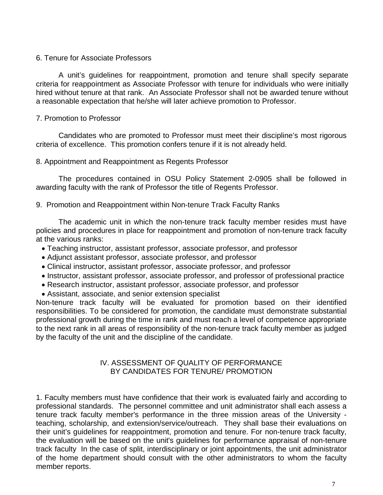## 6. Tenure for Associate Professors

A unit's guidelines for reappointment, promotion and tenure shall specify separate criteria for reappointment as Associate Professor with tenure for individuals who were initially hired without tenure at that rank. An Associate Professor shall not be awarded tenure without a reasonable expectation that he/she will later achieve promotion to Professor.

## 7. Promotion to Professor

Candidates who are promoted to Professor must meet their discipline's most rigorous criteria of excellence. This promotion confers tenure if it is not already held.

#### 8. Appointment and Reappointment as Regents Professor

The procedures contained in OSU Policy Statement 2-0905 shall be followed in awarding faculty with the rank of Professor the title of Regents Professor.

#### 9. Promotion and Reappointment within Non-tenure Track Faculty Ranks

The academic unit in which the non-tenure track faculty member resides must have policies and procedures in place for reappointment and promotion of non-tenure track faculty at the various ranks:

- Teaching instructor, assistant professor, associate professor, and professor
- Adjunct assistant professor, associate professor, and professor
- Clinical instructor, assistant professor, associate professor, and professor
- Instructor, assistant professor, associate professor, and professor of professional practice
- Research instructor, assistant professor, associate professor, and professor
- Assistant, associate, and senior extension specialist

Non-tenure track faculty will be evaluated for promotion based on their identified responsibilities. To be considered for promotion, the candidate must demonstrate substantial professional growth during the time in rank and must reach a level of competence appropriate to the next rank in all areas of responsibility of the non-tenure track faculty member as judged by the faculty of the unit and the discipline of the candidate.

## IV. ASSESSMENT OF QUALITY OF PERFORMANCE BY CANDIDATES FOR TENURE/ PROMOTION

1. Faculty members must have confidence that their work is evaluated fairly and according to professional standards. The personnel committee and unit administrator shall each assess a tenure track faculty member's performance in the three mission areas of the University teaching, scholarship, and extension/service/outreach. They shall base their evaluations on their unit's guidelines for reappointment, promotion and tenure. For non-tenure track faculty, the evaluation will be based on the unit's guidelines for performance appraisal of non-tenure track faculty In the case of split, interdisciplinary or joint appointments, the unit administrator of the home department should consult with the other administrators to whom the faculty member reports.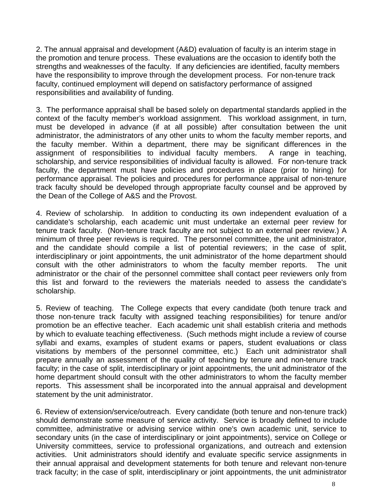2. The annual appraisal and development (A&D) evaluation of faculty is an interim stage in the promotion and tenure process. These evaluations are the occasion to identify both the strengths and weaknesses of the faculty. If any deficiencies are identified, faculty members have the responsibility to improve through the development process. For non-tenure track faculty, continued employment will depend on satisfactory performance of assigned responsibilities and availability of funding.

3. The performance appraisal shall be based solely on departmental standards applied in the context of the faculty member's workload assignment. This workload assignment, in turn, must be developed in advance (if at all possible) after consultation between the unit administrator, the administrators of any other units to whom the faculty member reports, and the faculty member. Within a department, there may be significant differences in the assignment of responsibilities to individual faculty members. A range in teaching, scholarship, and service responsibilities of individual faculty is allowed. For non-tenure track faculty, the department must have policies and procedures in place (prior to hiring) for performance appraisal. The policies and procedures for performance appraisal of non-tenure track faculty should be developed through appropriate faculty counsel and be approved by the Dean of the College of A&S and the Provost.

4. Review of scholarship. In addition to conducting its own independent evaluation of a candidate's scholarship, each academic unit must undertake an external peer review for tenure track faculty. (Non-tenure track faculty are not subject to an external peer review.) A minimum of three peer reviews is required. The personnel committee, the unit administrator, and the candidate should compile a list of potential reviewers; in the case of split, interdisciplinary or joint appointments, the unit administrator of the home department should consult with the other administrators to whom the faculty member reports. The unit administrator or the chair of the personnel committee shall contact peer reviewers only from this list and forward to the reviewers the materials needed to assess the candidate's scholarship.

5. Review of teaching. The College expects that every candidate (both tenure track and those non-tenure track faculty with assigned teaching responsibilities) for tenure and/or promotion be an effective teacher. Each academic unit shall establish criteria and methods by which to evaluate teaching effectiveness. (Such methods might include a review of course syllabi and exams, examples of student exams or papers, student evaluations or class visitations by members of the personnel committee, etc.) Each unit administrator shall prepare annually an assessment of the quality of teaching by tenure and non-tenure track faculty; in the case of split, interdisciplinary or joint appointments, the unit administrator of the home department should consult with the other administrators to whom the faculty member reports. This assessment shall be incorporated into the annual appraisal and development statement by the unit administrator.

6. Review of extension/service/outreach. Every candidate (both tenure and non-tenure track) should demonstrate some measure of service activity. Service is broadly defined to include committee, administrative or advising service within one's own academic unit, service to secondary units (in the case of interdisciplinary or joint appointments), service on College or University committees, service to professional organizations, and outreach and extension activities. Unit administrators should identify and evaluate specific service assignments in their annual appraisal and development statements for both tenure and relevant non-tenure track faculty; in the case of split, interdisciplinary or joint appointments, the unit administrator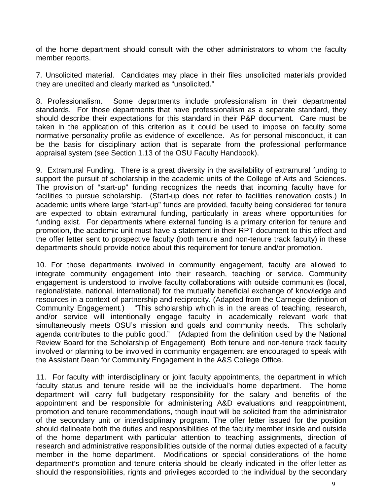of the home department should consult with the other administrators to whom the faculty member reports.

7. Unsolicited material. Candidates may place in their files unsolicited materials provided they are unedited and clearly marked as "unsolicited."

8. Professionalism. Some departments include professionalism in their departmental standards. For those departments that have professionalism as a separate standard, they should describe their expectations for this standard in their P&P document. Care must be taken in the application of this criterion as it could be used to impose on faculty some normative personality profile as evidence of excellence. As for personal misconduct, it can be the basis for disciplinary action that is separate from the professional performance appraisal system (see Section 1.13 of the OSU Faculty Handbook).

9. Extramural Funding. There is a great diversity in the availability of extramural funding to support the pursuit of scholarship in the academic units of the College of Arts and Sciences. The provision of "start-up" funding recognizes the needs that incoming faculty have for facilities to pursue scholarship. (Start-up does not refer to facilities renovation costs.) In academic units where large "start-up" funds are provided, faculty being considered for tenure are expected to obtain extramural funding, particularly in areas where opportunities for funding exist. For departments where external funding is a primary criterion for tenure and promotion, the academic unit must have a statement in their RPT document to this effect and the offer letter sent to prospective faculty (both tenure and non-tenure track faculty) in these departments should provide notice about this requirement for tenure and/or promotion.

10. For those departments involved in community engagement, faculty are allowed to integrate community engagement into their research, teaching or service. Community engagement is understood to involve faculty collaborations with outside communities (local, regional/state, national, international) for the mutually beneficial exchange of knowledge and resources in a context of partnership and reciprocity. (Adapted from the Carnegie definition of Community Engagement.) "This scholarship which is in the areas of teaching, research, and/or service will intentionally engage faculty in academically relevant work that simultaneously meets OSU's mission and goals and community needs. This scholarly agenda contributes to the public good." (Adapted from the definition used by the National Review Board for the Scholarship of Engagement) Both tenure and non-tenure track faculty involved or planning to be involved in community engagement are encouraged to speak with the Assistant Dean for Community Engagement in the A&S College Office.

11. For faculty with interdisciplinary or joint faculty appointments, the department in which faculty status and tenure reside will be the individual's home department. The home department will carry full budgetary responsibility for the salary and benefits of the appointment and be responsible for administering A&D evaluations and reappointment, promotion and tenure recommendations, though input will be solicited from the administrator of the secondary unit or interdisciplinary program. The offer letter issued for the position should delineate both the duties and responsibilities of the faculty member inside and outside of the home department with particular attention to teaching assignments, direction of research and administrative responsibilities outside of the normal duties expected of a faculty member in the home department. Modifications or special considerations of the home department's promotion and tenure criteria should be clearly indicated in the offer letter as should the responsibilities, rights and privileges accorded to the individual by the secondary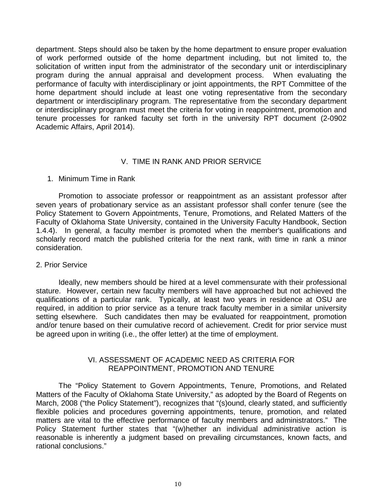department. Steps should also be taken by the home department to ensure proper evaluation of work performed outside of the home department including, but not limited to, the solicitation of written input from the administrator of the secondary unit or interdisciplinary program during the annual appraisal and development process. When evaluating the performance of faculty with interdisciplinary or joint appointments, the RPT Committee of the home department should include at least one voting representative from the secondary department or interdisciplinary program. The representative from the secondary department or interdisciplinary program must meet the criteria for voting in reappointment, promotion and tenure processes for ranked faculty set forth in the university RPT document (2-0902 Academic Affairs, April 2014).

## V. TIME IN RANK AND PRIOR SERVICE

#### 1. Minimum Time in Rank

Promotion to associate professor or reappointment as an assistant professor after seven years of probationary service as an assistant professor shall confer tenure (see the Policy Statement to Govern Appointments, Tenure, Promotions, and Related Matters of the Faculty of Oklahoma State University, contained in the University Faculty Handbook, Section 1.4.4). In general, a faculty member is promoted when the member's qualifications and scholarly record match the published criteria for the next rank, with time in rank a minor consideration.

#### 2. Prior Service

Ideally, new members should be hired at a level commensurate with their professional stature. However, certain new faculty members will have approached but not achieved the qualifications of a particular rank. Typically, at least two years in residence at OSU are required, in addition to prior service as a tenure track faculty member in a similar university setting elsewhere. Such candidates then may be evaluated for reappointment, promotion and/or tenure based on their cumulative record of achievement. Credit for prior service must be agreed upon in writing (i.e., the offer letter) at the time of employment.

## VI. ASSESSMENT OF ACADEMIC NEED AS CRITERIA FOR REAPPOINTMENT, PROMOTION AND TENURE

The "Policy Statement to Govern Appointments, Tenure, Promotions, and Related Matters of the Faculty of Oklahoma State University," as adopted by the Board of Regents on March, 2008 ("the Policy Statement"), recognizes that "(s)ound, clearly stated, and sufficiently flexible policies and procedures governing appointments, tenure, promotion, and related matters are vital to the effective performance of faculty members and administrators." The Policy Statement further states that "(w)hether an individual administrative action is reasonable is inherently a judgment based on prevailing circumstances, known facts, and rational conclusions."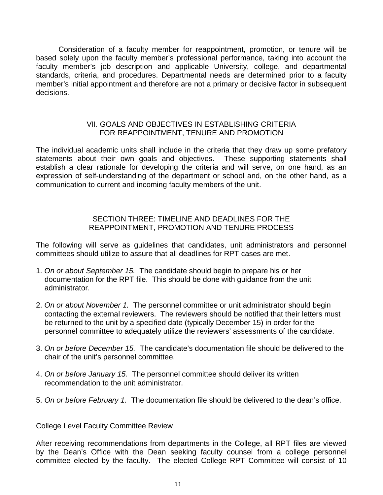Consideration of a faculty member for reappointment, promotion, or tenure will be based solely upon the faculty member's professional performance, taking into account the faculty member's job description and applicable University, college, and departmental standards, criteria, and procedures. Departmental needs are determined prior to a faculty member's initial appointment and therefore are not a primary or decisive factor in subsequent decisions.

## VII. GOALS AND OBJECTIVES IN ESTABLISHING CRITERIA FOR REAPPOINTMENT, TENURE AND PROMOTION

The individual academic units shall include in the criteria that they draw up some prefatory statements about their own goals and objectives. These supporting statements shall establish a clear rationale for developing the criteria and will serve, on one hand, as an expression of self-understanding of the department or school and, on the other hand, as a communication to current and incoming faculty members of the unit.

## SECTION THREE: TIMELINE AND DEADLINES FOR THE REAPPOINTMENT, PROMOTION AND TENURE PROCESS

The following will serve as guidelines that candidates, unit administrators and personnel committees should utilize to assure that all deadlines for RPT cases are met.

- 1. *On or about September 15.* The candidate should begin to prepare his or her documentation for the RPT file. This should be done with guidance from the unit administrator.
- 2. *On or about November 1.* The personnel committee or unit administrator should begin contacting the external reviewers. The reviewers should be notified that their letters must be returned to the unit by a specified date (typically December 15) in order for the personnel committee to adequately utilize the reviewers' assessments of the candidate.
- 3. *On or before December 15.* The candidate's documentation file should be delivered to the chair of the unit's personnel committee.
- 4. *On or before January 15.* The personnel committee should deliver its written recommendation to the unit administrator.
- 5. *On or before February 1.* The documentation file should be delivered to the dean's office.

College Level Faculty Committee Review

After receiving recommendations from departments in the College, all RPT files are viewed by the Dean's Office with the Dean seeking faculty counsel from a college personnel committee elected by the faculty. The elected College RPT Committee will consist of 10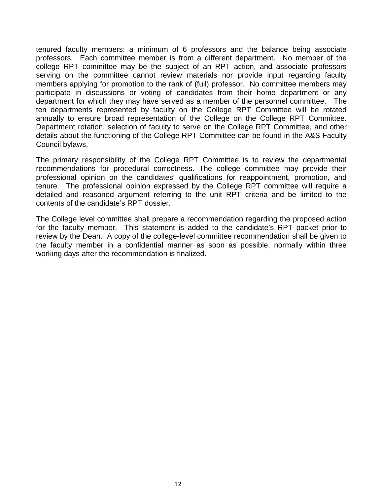tenured faculty members: a minimum of 6 professors and the balance being associate professors. Each committee member is from a different department. No member of the college RPT committee may be the subject of an RPT action, and associate professors serving on the committee cannot review materials nor provide input regarding faculty members applying for promotion to the rank of (full) professor. No committee members may participate in discussions or voting of candidates from their home department or any department for which they may have served as a member of the personnel committee. The ten departments represented by faculty on the College RPT Committee will be rotated annually to ensure broad representation of the College on the College RPT Committee. Department rotation, selection of faculty to serve on the College RPT Committee, and other details about the functioning of the College RPT Committee can be found in the A&S Faculty Council bylaws.

The primary responsibility of the College RPT Committee is to review the departmental recommendations for procedural correctness. The college committee may provide their professional opinion on the candidates' qualifications for reappointment, promotion, and tenure. The professional opinion expressed by the College RPT committee will require a detailed and reasoned argument referring to the unit RPT criteria and be limited to the contents of the candidate's RPT dossier.

The College level committee shall prepare a recommendation regarding the proposed action for the faculty member. This statement is added to the candidate's RPT packet prior to review by the Dean. A copy of the college-level committee recommendation shall be given to the faculty member in a confidential manner as soon as possible, normally within three working days after the recommendation is finalized.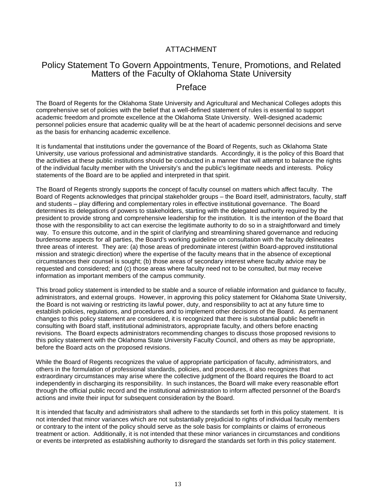## ATTACHMENT

# Policy Statement To Govern Appointments, Tenure, Promotions, and Related Matters of the Faculty of Oklahoma State University

# Preface

The Board of Regents for the Oklahoma State University and Agricultural and Mechanical Colleges adopts this comprehensive set of policies with the belief that a well-defined statement of rules is essential to support academic freedom and promote excellence at the Oklahoma State University. Well-designed academic personnel policies ensure that academic quality will be at the heart of academic personnel decisions and serve as the basis for enhancing academic excellence.

It is fundamental that institutions under the governance of the Board of Regents, such as Oklahoma State University, use various professional and administrative standards. Accordingly, it is the policy of this Board that the activities at these public institutions should be conducted in a manner that will attempt to balance the rights of the individual faculty member with the University's and the public's legitimate needs and interests. Policy statements of the Board are to be applied and interpreted in that spirit.

The Board of Regents strongly supports the concept of faculty counsel on matters which affect faculty. The Board of Regents acknowledges that principal stakeholder groups – the Board itself, administrators, faculty, staff and students – play differing and complementary roles in effective institutional governance. The Board determines its delegations of powers to stakeholders, starting with the delegated authority required by the president to provide strong and comprehensive leadership for the institution. It is the intention of the Board that those with the responsibility to act can exercise the legitimate authority to do so in a straightforward and timely way. To ensure this outcome, and in the spirit of clarifying and streamlining shared governance and reducing burdensome aspects for all parties, the Board's working guideline on consultation with the faculty delineates three areas of interest. They are: (a) those areas of predominate interest (within Board-approved institutional mission and strategic direction) where the expertise of the faculty means that in the absence of exceptional circumstances their counsel is sought; (b) those areas of secondary interest where faculty advice may be requested and considered; and (c) those areas where faculty need not to be consulted, but may receive information as important members of the campus community.

This broad policy statement is intended to be stable and a source of reliable information and guidance to faculty, administrators, and external groups. However, in approving this policy statement for Oklahoma State University, the Board is not waiving or restricting its lawful power, duty, and responsibility to act at any future time to establish policies, regulations, and procedures and to implement other decisions of the Board. As permanent changes to this policy statement are considered, it is recognized that there is substantial public benefit in consulting with Board staff, institutional administrators, appropriate faculty, and others before enacting revisions. The Board expects administrators recommending changes to discuss those proposed revisions to this policy statement with the Oklahoma State University Faculty Council, and others as may be appropriate, before the Board acts on the proposed revisions.

While the Board of Regents recognizes the value of appropriate participation of faculty, administrators, and others in the formulation of professional standards, policies, and procedures, it also recognizes that extraordinary circumstances may arise where the collective judgment of the Board requires the Board to act independently in discharging its responsibility. In such instances, the Board will make every reasonable effort through the official public record and the institutional administration to inform affected personnel of the Board's actions and invite their input for subsequent consideration by the Board.

It is intended that faculty and administrators shall adhere to the standards set forth in this policy statement. It is not intended that minor variances which are not substantially prejudicial to rights of individual faculty members or contrary to the intent of the policy should serve as the sole basis for complaints or claims of erroneous treatment or action. Additionally, it is not intended that these minor variances in circumstances and conditions or events be interpreted as establishing authority to disregard the standards set forth in this policy statement.